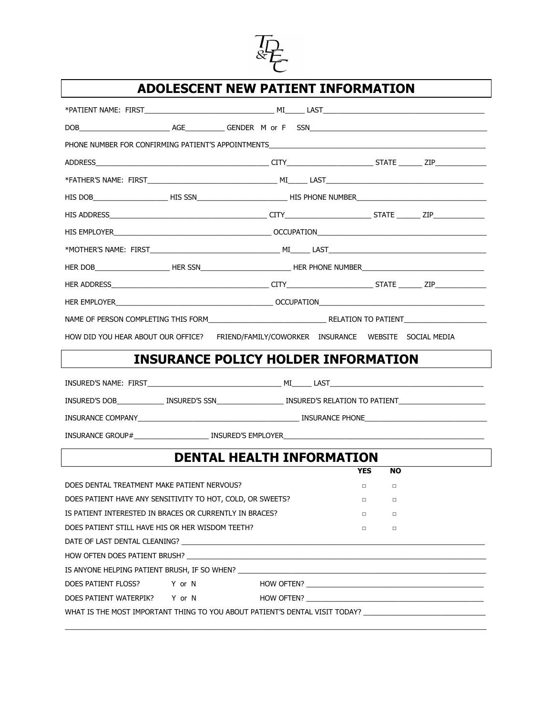

## **ADOLESCENT NEW PATIENT INFORMATION**

|                                                                                                                                                                                                                                | HIS DOB____________________HIS SSN________________________HIS PHONE NUMBER__________________________                           |  |  |  |
|--------------------------------------------------------------------------------------------------------------------------------------------------------------------------------------------------------------------------------|--------------------------------------------------------------------------------------------------------------------------------|--|--|--|
|                                                                                                                                                                                                                                |                                                                                                                                |  |  |  |
|                                                                                                                                                                                                                                |                                                                                                                                |  |  |  |
|                                                                                                                                                                                                                                |                                                                                                                                |  |  |  |
|                                                                                                                                                                                                                                | HER DOB______________________HER SSN________________________HER PHONE NUMBER__________________________________                 |  |  |  |
|                                                                                                                                                                                                                                |                                                                                                                                |  |  |  |
|                                                                                                                                                                                                                                |                                                                                                                                |  |  |  |
|                                                                                                                                                                                                                                |                                                                                                                                |  |  |  |
|                                                                                                                                                                                                                                | HOW DID YOU HEAR ABOUT OUR OFFICE? FRIEND/FAMILY/COWORKER INSURANCE WEBSITE SOCIAL MEDIA                                       |  |  |  |
|                                                                                                                                                                                                                                | <b>INSURANCE POLICY HOLDER INFORMATION</b>                                                                                     |  |  |  |
|                                                                                                                                                                                                                                |                                                                                                                                |  |  |  |
|                                                                                                                                                                                                                                | INSURED'S DOB_______________ INSURED'S SSN_______________________ INSURED'S RELATION TO PATIENT_______________                 |  |  |  |
|                                                                                                                                                                                                                                | INSURANCE COMPANY <b>And COMPANY And COMPANY CONTRACT COMPANY</b> INSURANCE PHONE <b>AND ANY AND A COMPANY</b> INSURANCE PHONE |  |  |  |
|                                                                                                                                                                                                                                |                                                                                                                                |  |  |  |
|                                                                                                                                                                                                                                |                                                                                                                                |  |  |  |
|                                                                                                                                                                                                                                | <b>DENTAL HEALTH INFORMATION</b><br><b>YES</b><br><b>NO</b>                                                                    |  |  |  |
| DOES DENTAL TREATMENT MAKE PATIENT NERVOUS?                                                                                                                                                                                    | $\Box$<br>$\Box$                                                                                                               |  |  |  |
| DOES PATIENT HAVE ANY SENSITIVITY TO HOT, COLD, OR SWEETS?                                                                                                                                                                     | $\Box$<br>$\Box$                                                                                                               |  |  |  |
| IS PATIENT INTERESTED IN BRACES OR CURRENTLY IN BRACES?                                                                                                                                                                        | □<br>□                                                                                                                         |  |  |  |
| DOES PATIENT STILL HAVE HIS OR HER WISDOM TEETH?<br>$\Box$<br>$\Box$                                                                                                                                                           |                                                                                                                                |  |  |  |
| DATE OF LAST DENTAL CLEANING? LAST AND THE RESIDENCE OF LAST AND THE RESIDENCE OF LAST AND THE RESIDENCE OF LA                                                                                                                 |                                                                                                                                |  |  |  |
| HOW OFTEN DOES PATIENT BRUSH? THE RESERVED ON A 1999 OF THE RESERVED ON A 1999 OF THE RESERVED ON A 1999 OF THE RESERVED ON A 1999 OF THE RESERVED ON A 1999 OF THE RESERVED ON A 1999 OF THE RESERVED ON A 1999 OF THE RESERV |                                                                                                                                |  |  |  |
|                                                                                                                                                                                                                                |                                                                                                                                |  |  |  |
| Y or N<br>DOES PATIENT FLOSS?                                                                                                                                                                                                  |                                                                                                                                |  |  |  |
| DOES PATIENT WATERPIK? Y or N                                                                                                                                                                                                  |                                                                                                                                |  |  |  |
|                                                                                                                                                                                                                                | WHAT IS THE MOST IMPORTANT THING TO YOU ABOUT PATIENT'S DENTAL VISIT TODAY? NAMES IN A RESERVE TO A RELATE THE                 |  |  |  |
|                                                                                                                                                                                                                                |                                                                                                                                |  |  |  |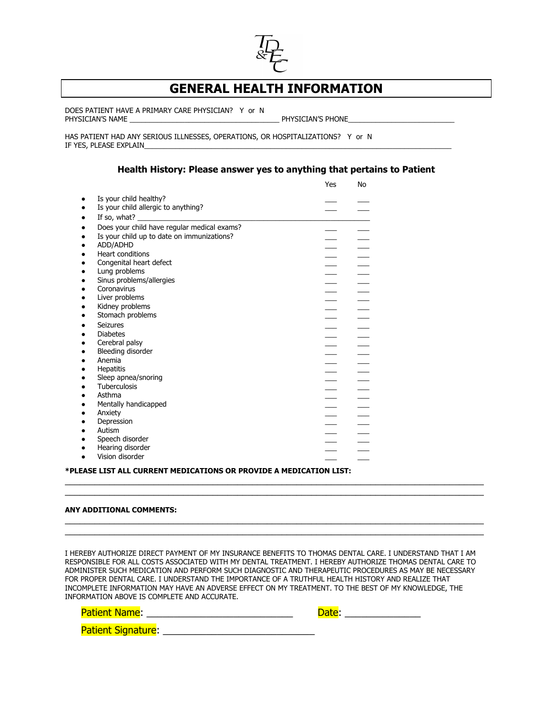

## **GENERAL HEALTH INFORMATION**

DOES PATIENT HAVE A PRIMARY CARE PHYSICIAN? Y or N PHYSICIAN'S NAME \_\_\_\_\_\_\_\_\_\_\_\_\_\_\_\_\_\_\_\_\_\_\_\_\_\_\_\_\_\_\_\_\_\_\_\_\_\_ PHYSICIAN'S PHONE\_\_\_\_\_\_\_\_\_\_\_\_\_\_\_\_\_\_\_\_\_\_\_\_\_\_\_

HAS PATIENT HAD ANY SERIOUS ILLNESSES, OPERATIONS, OR HOSPITALIZATIONS? Y or N IF YES, PLEASE EXPLAIN

## **Health History: Please answer yes to anything that pertains to Patient**

|                                             | Yes | No |
|---------------------------------------------|-----|----|
| Is your child healthy?                      |     |    |
| Is your child allergic to anything?         |     |    |
| If so, what?                                |     |    |
| Does your child have regular medical exams? |     |    |
| Is your child up to date on immunizations?  |     |    |
| ADD/ADHD                                    |     |    |
| <b>Heart conditions</b>                     |     |    |
| Congenital heart defect                     |     |    |
| Lung problems                               |     |    |
| Sinus problems/allergies                    |     |    |
| Coronavirus                                 |     |    |
| Liver problems                              |     |    |
| Kidney problems                             |     |    |
| Stomach problems                            |     |    |
| Seizures                                    |     |    |
| <b>Diabetes</b>                             |     |    |
| Cerebral palsy                              |     |    |
| Bleeding disorder                           |     |    |
| Anemia                                      |     |    |
| <b>Hepatitis</b>                            |     |    |
| Sleep apnea/snoring                         |     |    |
| Tuberculosis                                |     |    |
| Asthma                                      |     |    |
| Mentally handicapped                        |     |    |
| Anxiety                                     |     |    |
| Depression                                  |     |    |
| Autism                                      |     |    |
| Speech disorder                             |     |    |
| Hearing disorder                            |     |    |
| Vision disorder                             |     |    |

**\*PLEASE LIST ALL CURRENT MEDICATIONS OR PROVIDE A MEDICATION LIST:**

## **ANY ADDITIONAL COMMENTS:**

I HEREBY AUTHORIZE DIRECT PAYMENT OF MY INSURANCE BENEFITS TO THOMAS DENTAL CARE. I UNDERSTAND THAT I AM RESPONSIBLE FOR ALL COSTS ASSOCIATED WITH MY DENTAL TREATMENT. I HEREBY AUTHORIZE THOMAS DENTAL CARE TO ADMINISTER SUCH MEDICATION AND PERFORM SUCH DIAGNOSTIC AND THERAPEUTIC PROCEDURES AS MAY BE NECESSARY FOR PROPER DENTAL CARE. I UNDERSTAND THE IMPORTANCE OF A TRUTHFUL HEALTH HISTORY AND REALIZE THAT INCOMPLETE INFORMATION MAY HAVE AN ADVERSE EFFECT ON MY TREATMENT. TO THE BEST OF MY KNOWLEDGE, THE INFORMATION ABOVE IS COMPLETE AND ACCURATE.

 $\_$  , and the state of the state of the state of the state of the state of the state of the state of the state of the state of the state of the state of the state of the state of the state of the state of the state of the  $\_$  , and the state of the state of the state of the state of the state of the state of the state of the state of the state of the state of the state of the state of the state of the state of the state of the state of the

 $\_$  , and the state of the state of the state of the state of the state of the state of the state of the state of the state of the state of the state of the state of the state of the state of the state of the state of the  $\_$  , and the state of the state of the state of the state of the state of the state of the state of the state of the state of the state of the state of the state of the state of the state of the state of the state of the

| <b>Patient Name:</b>      | Date: |
|---------------------------|-------|
| <b>Patient Signature:</b> |       |